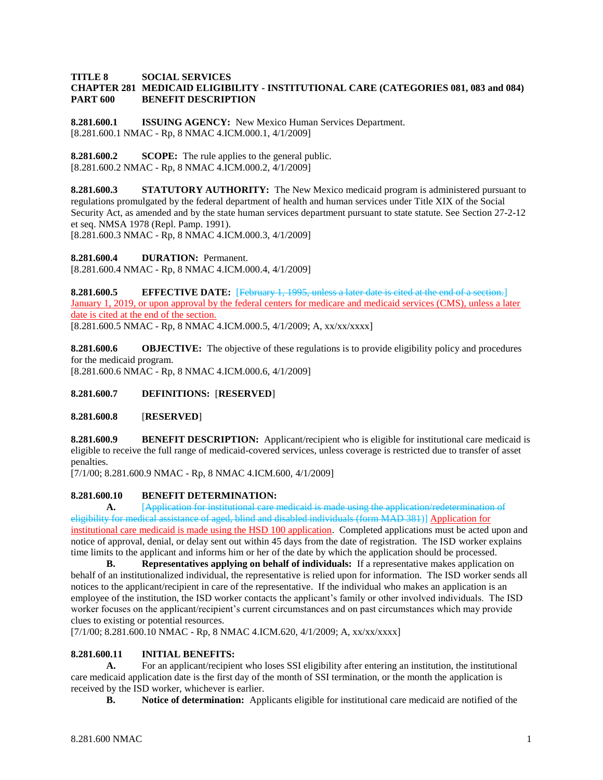#### **TITLE 8 SOCIAL SERVICES CHAPTER 281 MEDICAID ELIGIBILITY - INSTITUTIONAL CARE (CATEGORIES 081, 083 and 084) PART 600 BENEFIT DESCRIPTION**

**8.281.600.1 ISSUING AGENCY:** New Mexico Human Services Department. [8.281.600.1 NMAC - Rp, 8 NMAC 4.ICM.000.1, 4/1/2009]

**8.281.600.2 SCOPE:** The rule applies to the general public. [8.281.600.2 NMAC - Rp, 8 NMAC 4.ICM.000.2, 4/1/2009]

**8.281.600.3 STATUTORY AUTHORITY:** The New Mexico medicaid program is administered pursuant to regulations promulgated by the federal department of health and human services under Title XIX of the Social Security Act, as amended and by the state human services department pursuant to state statute. See Section 27-2-12 et seq. NMSA 1978 (Repl. Pamp. 1991).

[8.281.600.3 NMAC - Rp, 8 NMAC 4.ICM.000.3, 4/1/2009]

**8.281.600.4 DURATION:** Permanent. [8.281.600.4 NMAC - Rp, 8 NMAC 4.ICM.000.4, 4/1/2009]

**8.281.600.5 EFFECTIVE DATE:** [February 1, 1995, unless a later date is cited at the end of a section.] January 1, 2019, or upon approval by the federal centers for medicare and medicaid services (CMS), unless a later date is cited at the end of the section. [8.281.600.5 NMAC - Rp, 8 NMAC 4.ICM.000.5, 4/1/2009; A, xx/xx/xxxx]

**8.281.600.6 OBJECTIVE:** The objective of these regulations is to provide eligibility policy and procedures for the medicaid program. [8.281.600.6 NMAC - Rp, 8 NMAC 4.ICM.000.6, 4/1/2009]

**8.281.600.7 DEFINITIONS:** [**RESERVED**]

**8.281.600.8** [**RESERVED**]

**8.281.600.9 BENEFIT DESCRIPTION:** Applicant/recipient who is eligible for institutional care medicaid is eligible to receive the full range of medicaid-covered services, unless coverage is restricted due to transfer of asset penalties.

[7/1/00; 8.281.600.9 NMAC - Rp, 8 NMAC 4.ICM.600, 4/1/2009]

# **8.281.600.10 BENEFIT DETERMINATION:**

**A.** [Application for institutional care medicaid is made using the application/redetermination of eligibility for medical assistance of aged, blind and disabled individuals (form MAD 381)] Application for institutional care medicaid is made using the HSD 100 application. Completed applications must be acted upon and notice of approval, denial, or delay sent out within 45 days from the date of registration. The ISD worker explains time limits to the applicant and informs him or her of the date by which the application should be processed.

**B. Representatives applying on behalf of individuals:** If a representative makes application on behalf of an institutionalized individual, the representative is relied upon for information. The ISD worker sends all notices to the applicant/recipient in care of the representative. If the individual who makes an application is an employee of the institution, the ISD worker contacts the applicant's family or other involved individuals. The ISD worker focuses on the applicant/recipient's current circumstances and on past circumstances which may provide clues to existing or potential resources.

[7/1/00; 8.281.600.10 NMAC - Rp, 8 NMAC 4.ICM.620, 4/1/2009; A, xx/xx/xxxx]

# **8.281.600.11 INITIAL BENEFITS:**

**A.** For an applicant/recipient who loses SSI eligibility after entering an institution, the institutional care medicaid application date is the first day of the month of SSI termination, or the month the application is received by the ISD worker, whichever is earlier.

**B. Notice of determination:** Applicants eligible for institutional care medicaid are notified of the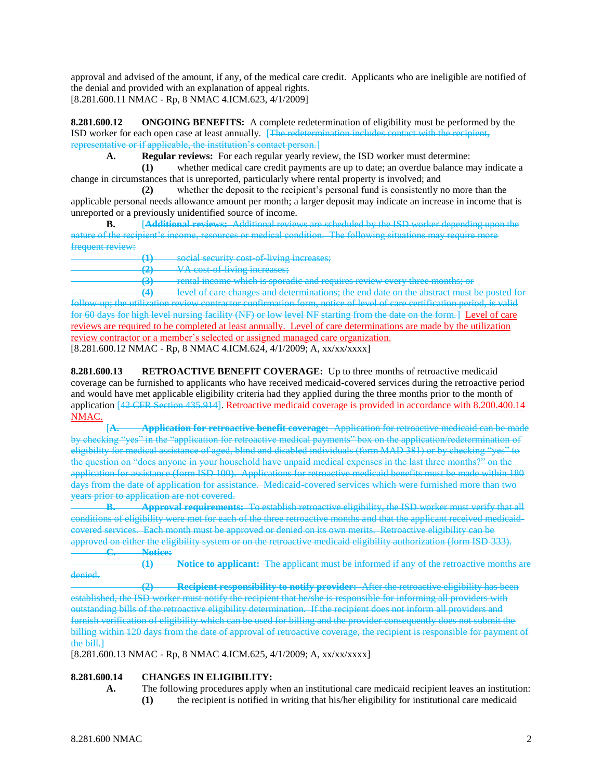approval and advised of the amount, if any, of the medical care credit. Applicants who are ineligible are notified of the denial and provided with an explanation of appeal rights. [8.281.600.11 NMAC - Rp, 8 NMAC 4.ICM.623, 4/1/2009]

**8.281.600.12 ONGOING BENEFITS:** A complete redetermination of eligibility must be performed by the ISD worker for each open case at least annually. [The redetermination includes contact with the recipient, representative or if applicable, the institution's contact person.]

**A. Regular reviews:** For each regular yearly review, the ISD worker must determine:

**(1)** whether medical care credit payments are up to date; an overdue balance may indicate a change in circumstances that is unreported, particularly where rental property is involved; and

**(2)** whether the deposit to the recipient's personal fund is consistently no more than the applicable personal needs allowance amount per month; a larger deposit may indicate an increase in income that is unreported or a previously unidentified source of income.

**B.** [**Additional reviews:** Additional reviews are scheduled by the ISD worker depending upon the nature of the recipient's income, resources or medical condition. The following situations may require more frequent review:

**(1)** social security cost-of-living increases;

**(2)** VA cost-of-living increases;

**(3)** rental income which is sporadic and requires review every three months; or

level of care changes and determinations; the end date on the abstract must be posted for follow up; the utilization review contractor confirmation form, notice of level of care certification period, is valid for 60 days for high level nursing facility (NF) or low level NF starting from the date on the form.] Level of care reviews are required to be completed at least annually. Level of care determinations are made by the utilization review contractor or a member's selected or assigned managed care organization.

[8.281.600.12 NMAC - Rp, 8 NMAC 4.ICM.624, 4/1/2009; A, xx/xx/xxxx]

**8.281.600.13 RETROACTIVE BENEFIT COVERAGE:** Up to three months of retroactive medicaid coverage can be furnished to applicants who have received medicaid-covered services during the retroactive period and would have met applicable eligibility criteria had they applied during the three months prior to the month of application [42 CFR Section 435.914]. Retroactive medicaid coverage is provided in accordance with 8.200.400.14 NMAC.

[**A. Application for retroactive benefit coverage:** Application for retroactive medicaid can be made checking "yes" in the "application for retroactive medical payments" box on the application/redetermination of eligibility for medical assistance of aged, blind and disabled individuals (form MAD 381) or by checking "yes" to the question on "does anyone in your household have unpaid medical expenses in the last three months?" on the application for assistance (form ISD 100). Applications for retroactive medicaid benefits must be made within 180 days from the date of application for assistance. Medicaid-covered services which were furnished more than two years prior to application are not covered.

**B. Approval requirements:** To establish retroactive eligibility, the ISD worker must verify that all conditions of eligibility were met for each of the three retroactive months and that the applicant received medicaidcovered services. Each month must be approved or denied on its own merits. Retroactive eligibility can be approved on either the eligibility system or on the retroactive medicaid eligibility authorization (form ISD 333). Notice:

**(1) Notice to applicant:** The applicant must be informed if any of the retroactive months are denied.

**(2) Recipient responsibility to notify provider:** After the retroactive eligibility has been established, the ISD worker must notify the recipient that he/she is responsible for informing all providers with outstanding bills of the retroactive eligibility determination. If the recipient does not inform all providers and furnish verification of eligibility which can be used for billing and the provider consequently does not submit the billing within 120 days from the date of approval of retroactive coverage, the recipient is responsible for payment of the bill.]

[8.281.600.13 NMAC - Rp, 8 NMAC 4.ICM.625, 4/1/2009; A, xx/xx/xxxx]

# **8.281.600.14 CHANGES IN ELIGIBILITY:**

- **A.** The following procedures apply when an institutional care medicaid recipient leaves an institution:
	- **(1)** the recipient is notified in writing that his/her eligibility for institutional care medicaid